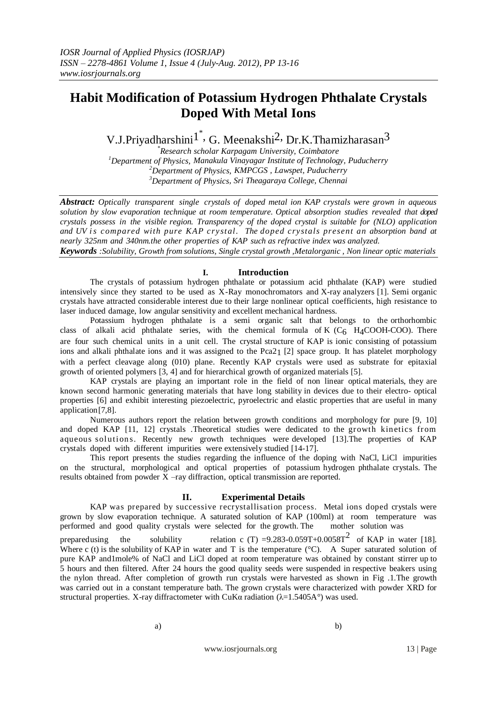# **Habit Modification of Potassium Hydrogen Phthalate Crystals Doped With Metal Ions**

V.J.Priyadharshini<sup>1</sup>, G. Meenakshi<sup>2,</sup> Dr.K.Thamizharasan<sup>3</sup>

*\*Research scholar Karpagam University, Coimbatore Department of Physics, Manakula Vinayagar Institute of Technology, Puducherry Department of Physics, KMPCGS , Lawspet, Puducherry Department of Physics, Sri Theagaraya College, Chennai*

*Abstract: Optically transparent single crystals of doped metal ion KAP crystals were grown in aqueous solution by slow evaporation technique at room temperature. Optical absorption studies revealed that doped crystals possess in the visible region. Transparency of the doped crystal is suitable for (NLO) application and UV i s compared with pure KAP c ry st al. The doped crystals present an absorption band at nearly 325nm and 340nm.the other properties of KAP such as refractive index was analyzed.*

*Keywords :Solubility, Growth from solutions, Single crystal growth ,Metalorganic , Non linear optic materials*

# **I. Introduction**

The crystals of potassium hydrogen phthalate or potassium acid phthalate (KAP) were studied intensively since they started to be used as X-Ray monochromators and X-ray analyzers [1]. Semi organic crystals have attracted considerable interest due to their large nonlinear optical coefficients, high resistance to laser induced damage, low angular sensitivity and excellent mechanical hardness.

Potassium hydrogen phthalate is a semi organic salt that belongs to the orthorhombic class of alkali acid phthalate series, with the chemical formula of K  $(C_6$  H<sub>4</sub>COOH-COO). There are four such chemical units in a unit cell. The crystal structure of KAP is ionic consisting of potassium ions and alkali phthalate ions and it was assigned to the Pca2<sub>1</sub> [2] space group. It has platelet morphology with a perfect cleavage along (010) plane. Recently KAP crystals were used as substrate for epitaxial growth of oriented polymers [3, 4] and for hierarchical growth of organized materials [5].

KAP crystals are playing an important role in the field of non linear optical materials, they are known second harmonic generating materials that have long stability in devices due to their electro- optical properties [6] and exhibit interesting piezoelectric, pyroelectric and elastic properties that are useful in many application[7,8].

Numerous authors report the relation between growth conditions and morphology for pure [9, 10] and doped KAP [11, 12] crystals .Theoretical studies were dedicated to the growth kinetics from aqueous solutions. Recently new growth techniques were developed [13]. The properties of KAP crystals doped with different impurities were extensively studied [14-17].

This report presents the studies regarding the influence of the doping with NaCl, LiCl impurities on the structural, morphological and optical properties of potassium hydrogen phthalate crystals. The results obtained from powder X –ray diffraction, optical transmission are reported.

### **II. Experimental Details**

KAP was prepared by successive recrystallisation process. Metal ions doped crystals were grown by slow evaporation technique. A saturated solution of KAP (100ml) at room temperature was performed and good quality crystals were selected for the growth. The mother solution was

preparedusing the solubility relation c (T) =9.283-0.059T+0.0058T<sup>2</sup> of KAP in water [18]. Where c (t) is the solubility of KAP in water and T is the temperature ( $\degree$ C). A Super saturated solution of pure KAP and1mole% of NaCl and LiCl doped at room temperature was obtained by constant stirrer up to 5 hours and then filtered. After 24 hours the good quality seeds were suspended in respective beakers using the nylon thread. After completion of growth run crystals were harvested as shown in Fig .1.The growth was carried out in a constant temperature bath. The grown crystals were characterized with powder XRD for structural properties. X-ray diffractometer with CuK $\alpha$  radiation ( $\lambda$ =1.5405A°) was used.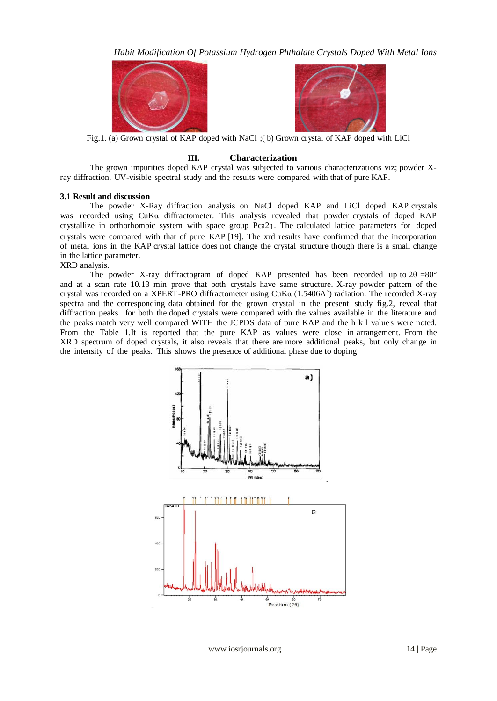



Fig.1. (a) Grown crystal of KAP doped with NaCl ;( b) Grown crystal of KAP doped with LiCl

# **III. Characterization**

The grown impurities doped KAP crystal was subjected to various characterizations viz; powder Xray diffraction, UV-visible spectral study and the results were compared with that of pure KAP.

# **3.1 Result and discussion**

The powder X-Ray diffraction analysis on NaCl doped KAP and LiCl doped KAP crystals was recorded using CuKα diffractometer. This analysis revealed that powder crystals of doped KAP crystallize in orthorhombic system with space group Pca21. The calculated lattice parameters for doped crystals were compared with that of pure KAP [19]. The xrd results have confirmed that the incorporation of metal ions in the KAP crystal lattice does not change the crystal structure though there is a small change in the lattice parameter.

### XRD analysis.

The powder X-ray diffractogram of doped KAP presented has been recorded up to  $2\theta = 80^\circ$ and at a scan rate 10.13 min prove that both crystals have same structure. X-ray powder pattern of the crystal was recorded on a XPERT-PRO diffractometer using CuKα (1.5406A˚) radiation. The recorded X-ray spectra and the corresponding data obtained for the grown crystal in the present study fig.2, reveal that diffraction peaks for both the doped crystals were compared with the values available in the literature and the peaks match very well compared WITH the JCPDS data of pure KAP and the h k l value s were noted. From the Table 1.It is reported that the pure KAP as values were close in arrangement. From the XRD spectrum of doped crystals, it also reveals that there are more additional peaks, but only change in the intensity of the peaks. This shows the presence of additional phase due to doping



www.iosrjournals.org 14 | Page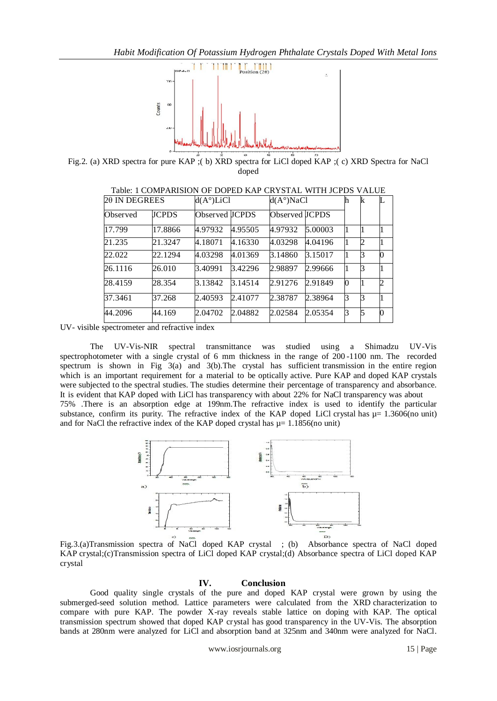

Fig.2. (a) XRD spectra for pure KAP ;( b) XRD spectra for LiCl doped KAP ;( c) XRD Spectra for NaCl doped

| 20 IN DEGREES |              |                | $d(A^{\circ})LiCl$ |                | $d(A^{\circ})NaCl$ |  | k             |          |
|---------------|--------------|----------------|--------------------|----------------|--------------------|--|---------------|----------|
| Observed      | <b>ICPDS</b> | Observed JCPDS |                    | Observed JCPDS |                    |  |               |          |
| 17.799        | 17.8866      | 4.97932        | 4.95505            | 4.97932        | 5.00003            |  |               |          |
| 21.235        | 21.3247      | 4.18071        | 4.16330            | 4.03298        | 4.04196            |  | $\mathcal{D}$ |          |
| 22.022        | 22.1294      | 4.03298        | 4.01369            | 3.14860        | 3.15017            |  |               | $\Omega$ |
| 26.1116       | 26.010       | 3.40991        | 3.42296            | 2.98897        | 2.99666            |  |               |          |
| 28.4159       | 28.354       | 3.13842        | 3.14514            | 2.91276        | 2.91849            |  |               | 2        |
| 37.3461       | 37.268       | 2.40593        | 2.41077            | 2.38787        | 2.38964            |  |               |          |
| 44.2096       | 44.169       | 2.04702        | 2.04882            | 2.02584        | 2.05354            |  |               | $\theta$ |

Table: 1 COMPARISION OF DOPED KAP CRYSTAL WITH JCPDS VALUE

UV- visible spectrometer and refractive index

The UV-Vis-NIR spectral transmittance was studied using a Shimadzu UV-Vis spectrophotometer with a single crystal of 6 mm thickness in the range of 200 -1100 nm. The recorded spectrum is shown in Fig 3(a) and 3(b).The crystal has sufficient transmission in the entire region which is an important requirement for a material to be optically active. Pure KAP and doped KAP crystals were subjected to the spectral studies. The studies determine their percentage of transparency and absorbance. It is evident that KAP doped with LiCl has transparency with about 22% for NaCl transparency was about 75% .There is an absorption edge at 199nm.The refractive index is used to identify the particular substance, confirm its purity. The refractive index of the KAP doped LiCl crystal has  $\mu$  = 1.3606(no unit) and for NaCl the refractive index of the KAP doped crystal has  $\mu$  = 1.1856(no unit)



Fig.3.(a)Transmission spectra of NaCl doped KAP crystal ; (b) Absorbance spectra of NaCl doped KAP crystal;(c)Transmission spectra of LiCl doped KAP crystal;(d) Absorbance spectra of LiCl doped KAP crystal

#### **IV. Conclusion**

Good quality single crystals of the pure and doped KAP crystal were grown by using the submerged-seed solution method. Lattice parameters were calculated from the XRD characterization to compare with pure KAP. The powder X-ray reveals stable lattice on doping with KAP. The optical transmission spectrum showed that doped KAP crystal has good transparency in the UV-Vis. The absorption bands at 280nm were analyzed for LiCl and absorption band at 325nm and 340nm were analyzed for NaCl.